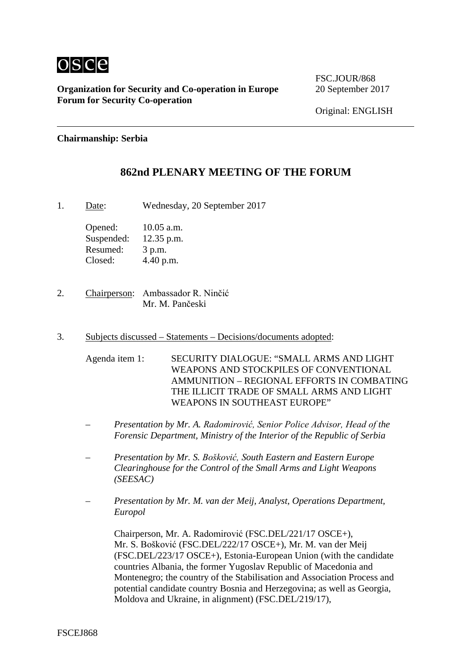

**Organization for Security and Co-operation in Europe** 20 September 2017 **Forum for Security Co-operation**

FSC.JOUR/868

Original: ENGLISH

#### **Chairmanship: Serbia**

## **862nd PLENARY MEETING OF THE FORUM**

1. Date: Wednesday, 20 September 2017

Opened: 10.05 a.m. Suspended: 12.35 p.m. Resumed: 3 p.m. Closed: 4.40 p.m.

- 2. Chairperson: Ambassador R. Ninčić Mr. M. Pančeski
- 3. Subjects discussed Statements Decisions/documents adopted:

Agenda item 1: SECURITY DIALOGUE: "SMALL ARMS AND LIGHT WEAPONS AND STOCKPILES OF CONVENTIONAL AMMUNITION – REGIONAL EFFORTS IN COMBATING THE ILLICIT TRADE OF SMALL ARMS AND LIGHT WEAPONS IN SOUTHEAST EUROPE"

- *– Presentation by Mr. A. Radomirović, Senior Police Advisor, Head of the Forensic Department, Ministry of the Interior of the Republic of Serbia*
- *– Presentation by Mr. S. Bošković, South Eastern and Eastern Europe Clearinghouse for the Control of the Small Arms and Light Weapons (SEESAC)*
- *– Presentation by Mr. M. van der Meij, Analyst, Operations Department, Europol*

Chairperson, Mr. A. Radomirović (FSC.DEL/221/17 OSCE+), Mr. S. Bošković (FSC.DEL/222/17 OSCE+), Mr. M. van der Meij (FSC.DEL/223/17 OSCE+), Estonia-European Union (with the candidate countries Albania, the former Yugoslav Republic of Macedonia and Montenegro; the country of the Stabilisation and Association Process and potential candidate country Bosnia and Herzegovina; as well as Georgia, Moldova and Ukraine, in alignment) (FSC.DEL/219/17),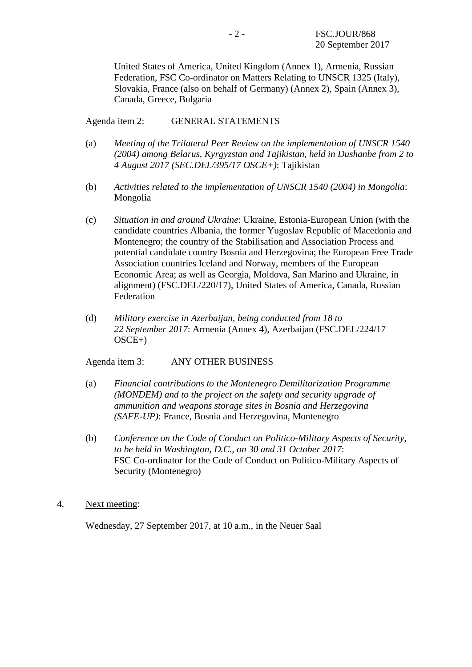United States of America, United Kingdom (Annex 1), Armenia, Russian Federation, FSC Co-ordinator on Matters Relating to UNSCR 1325 (Italy), Slovakia, France (also on behalf of Germany) (Annex 2), Spain (Annex 3), Canada, Greece, Bulgaria

### Agenda item 2: GENERAL STATEMENTS

- (a) *Meeting of the Trilateral Peer Review on the implementation of UNSCR 1540 (2004) among Belarus, Kyrgyzstan and Tajikistan, held in Dushanbe from 2 to 4 August 2017 (SEC.DEL/395/17 OSCE+)*: Tajikistan
- (b) *Activities related to the implementation of UNSCR 1540 (2004) in Mongolia*: Mongolia
- (c) *Situation in and around Ukraine*: Ukraine, Estonia-European Union (with the candidate countries Albania, the former Yugoslav Republic of Macedonia and Montenegro; the country of the Stabilisation and Association Process and potential candidate country Bosnia and Herzegovina; the European Free Trade Association countries Iceland and Norway, members of the European Economic Area; as well as Georgia, Moldova, San Marino and Ukraine, in alignment) (FSC.DEL/220/17), United States of America, Canada, Russian Federation
- (d) *Military exercise in Azerbaijan, being conducted from 18 to 22 September 2017*: Armenia (Annex 4), Azerbaijan (FSC.DEL/224/17 OSCE+)

Agenda item 3: ANY OTHER BUSINESS

- (a) *Financial contributions to the Montenegro Demilitarization Programme (MONDEM) and to the project on the safety and security upgrade of ammunition and weapons storage sites in Bosnia and Herzegovina (SAFE-UP)*: France, Bosnia and Herzegovina, Montenegro
- (b) *Conference on the Code of Conduct on Politico-Military Aspects of Security, to be held in Washington, D.C., on 30 and 31 October 2017*: FSC Co-ordinator for the Code of Conduct on Politico-Military Aspects of Security (Montenegro)
- 4. Next meeting:

Wednesday, 27 September 2017, at 10 a.m., in the Neuer Saal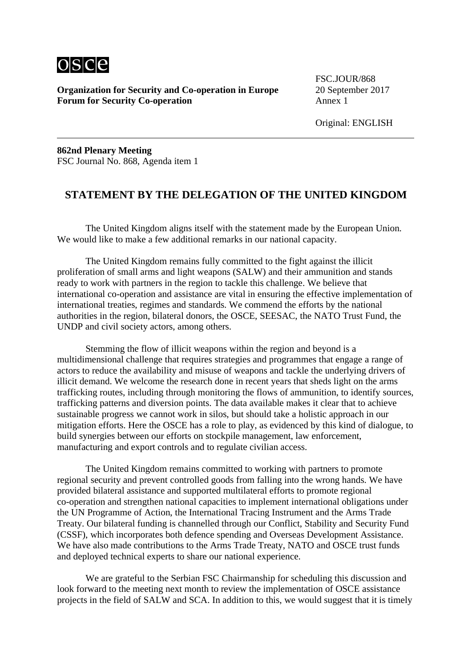

**Organization for Security and Co-operation in Europe** 20 September 2017 **Forum for Security Co-operation** Annex 1

FSC.JOUR/868

Original: ENGLISH

**862nd Plenary Meeting** FSC Journal No. 868, Agenda item 1

### **STATEMENT BY THE DELEGATION OF THE UNITED KINGDOM**

The United Kingdom aligns itself with the statement made by the European Union. We would like to make a few additional remarks in our national capacity.

The United Kingdom remains fully committed to the fight against the illicit proliferation of small arms and light weapons (SALW) and their ammunition and stands ready to work with partners in the region to tackle this challenge. We believe that international co-operation and assistance are vital in ensuring the effective implementation of international treaties, regimes and standards. We commend the efforts by the national authorities in the region, bilateral donors, the OSCE, SEESAC, the NATO Trust Fund, the UNDP and civil society actors, among others.

Stemming the flow of illicit weapons within the region and beyond is a multidimensional challenge that requires strategies and programmes that engage a range of actors to reduce the availability and misuse of weapons and tackle the underlying drivers of illicit demand. We welcome the research done in recent years that sheds light on the arms trafficking routes, including through monitoring the flows of ammunition, to identify sources, trafficking patterns and diversion points. The data available makes it clear that to achieve sustainable progress we cannot work in silos, but should take a holistic approach in our mitigation efforts. Here the OSCE has a role to play, as evidenced by this kind of dialogue, to build synergies between our efforts on stockpile management, law enforcement, manufacturing and export controls and to regulate civilian access.

The United Kingdom remains committed to working with partners to promote regional security and prevent controlled goods from falling into the wrong hands. We have provided bilateral assistance and supported multilateral efforts to promote regional co-operation and strengthen national capacities to implement international obligations under the UN Programme of Action, the International Tracing Instrument and the Arms Trade Treaty. Our bilateral funding is channelled through our Conflict, Stability and Security Fund (CSSF), which incorporates both defence spending and Overseas Development Assistance. We have also made contributions to the Arms Trade Treaty, NATO and OSCE trust funds and deployed technical experts to share our national experience.

We are grateful to the Serbian FSC Chairmanship for scheduling this discussion and look forward to the meeting next month to review the implementation of OSCE assistance projects in the field of SALW and SCA. In addition to this, we would suggest that it is timely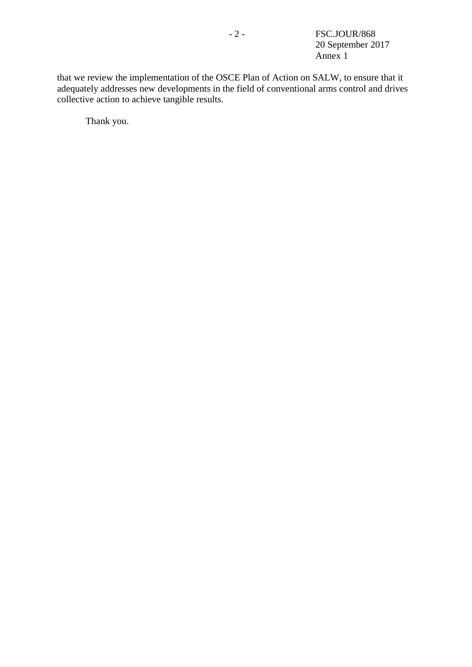that we review the implementation of the OSCE Plan of Action on SALW, to ensure that it adequately addresses new developments in the field of conventional arms control and drives collective action to achieve tangible results.

Thank you.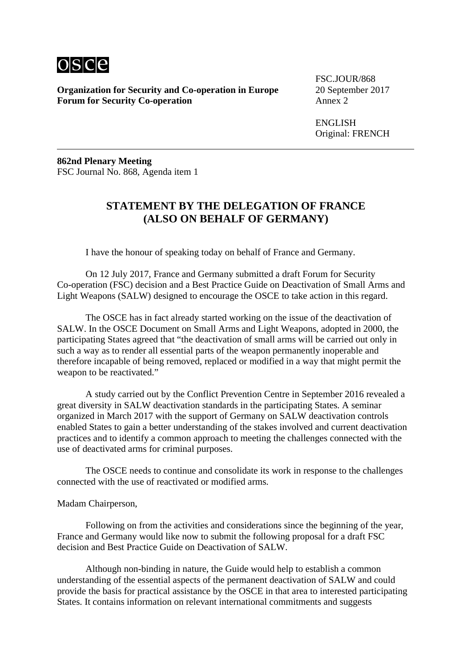

**Organization for Security and Co-operation in Europe** 20 September 2017 **Forum for Security Co-operation** Annex 2

FSC.JOUR/868

ENGLISH Original: FRENCH

**862nd Plenary Meeting** FSC Journal No. 868, Agenda item 1

# **STATEMENT BY THE DELEGATION OF FRANCE (ALSO ON BEHALF OF GERMANY)**

I have the honour of speaking today on behalf of France and Germany.

On 12 July 2017, France and Germany submitted a draft Forum for Security Co-operation (FSC) decision and a Best Practice Guide on Deactivation of Small Arms and Light Weapons (SALW) designed to encourage the OSCE to take action in this regard.

The OSCE has in fact already started working on the issue of the deactivation of SALW. In the OSCE Document on Small Arms and Light Weapons, adopted in 2000, the participating States agreed that "the deactivation of small arms will be carried out only in such a way as to render all essential parts of the weapon permanently inoperable and therefore incapable of being removed, replaced or modified in a way that might permit the weapon to be reactivated."

A study carried out by the Conflict Prevention Centre in September 2016 revealed a great diversity in SALW deactivation standards in the participating States. A seminar organized in March 2017 with the support of Germany on SALW deactivation controls enabled States to gain a better understanding of the stakes involved and current deactivation practices and to identify a common approach to meeting the challenges connected with the use of deactivated arms for criminal purposes.

The OSCE needs to continue and consolidate its work in response to the challenges connected with the use of reactivated or modified arms.

Madam Chairperson,

Following on from the activities and considerations since the beginning of the year, France and Germany would like now to submit the following proposal for a draft FSC decision and Best Practice Guide on Deactivation of SALW.

Although non-binding in nature, the Guide would help to establish a common understanding of the essential aspects of the permanent deactivation of SALW and could provide the basis for practical assistance by the OSCE in that area to interested participating States. It contains information on relevant international commitments and suggests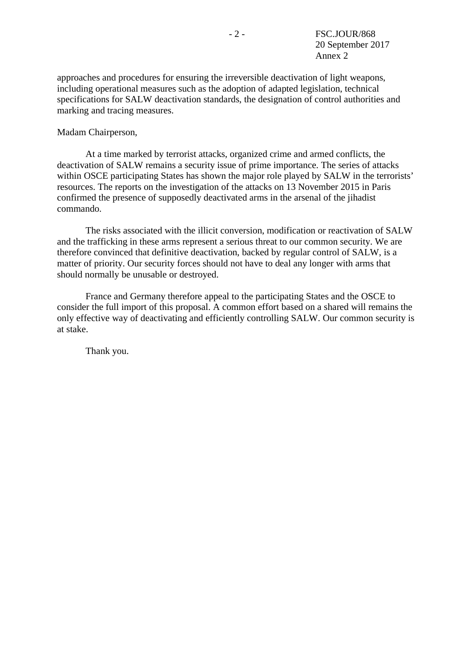approaches and procedures for ensuring the irreversible deactivation of light weapons, including operational measures such as the adoption of adapted legislation, technical specifications for SALW deactivation standards, the designation of control authorities and marking and tracing measures.

#### Madam Chairperson,

At a time marked by terrorist attacks, organized crime and armed conflicts, the deactivation of SALW remains a security issue of prime importance. The series of attacks within OSCE participating States has shown the major role played by SALW in the terrorists' resources. The reports on the investigation of the attacks on 13 November 2015 in Paris confirmed the presence of supposedly deactivated arms in the arsenal of the jihadist commando.

The risks associated with the illicit conversion, modification or reactivation of SALW and the trafficking in these arms represent a serious threat to our common security. We are therefore convinced that definitive deactivation, backed by regular control of SALW, is a matter of priority. Our security forces should not have to deal any longer with arms that should normally be unusable or destroyed.

France and Germany therefore appeal to the participating States and the OSCE to consider the full import of this proposal. A common effort based on a shared will remains the only effective way of deactivating and efficiently controlling SALW. Our common security is at stake.

Thank you.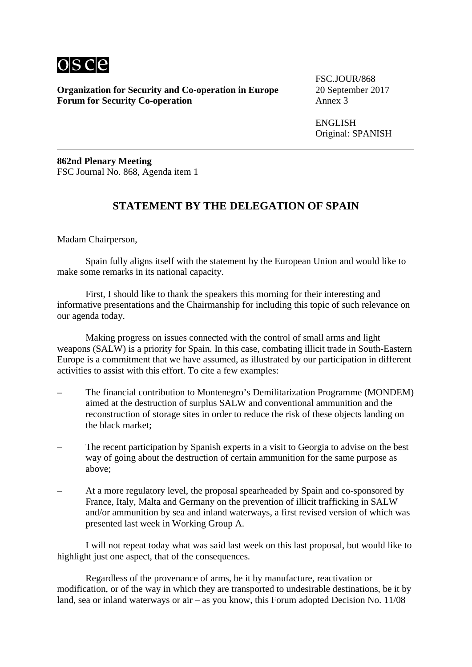

**Organization for Security and Co-operation in Europe** 20 September 2017<br>**Forum for Security Co-operation** Annex 3 **Forum for Security Co-operation** 

FSC.JOUR/868

ENGLISH Original: SPANISH

**862nd Plenary Meeting** FSC Journal No. 868, Agenda item 1

## **STATEMENT BY THE DELEGATION OF SPAIN**

Madam Chairperson,

Spain fully aligns itself with the statement by the European Union and would like to make some remarks in its national capacity.

First, I should like to thank the speakers this morning for their interesting and informative presentations and the Chairmanship for including this topic of such relevance on our agenda today.

Making progress on issues connected with the control of small arms and light weapons (SALW) is a priority for Spain. In this case, combating illicit trade in South-Eastern Europe is a commitment that we have assumed, as illustrated by our participation in different activities to assist with this effort. To cite a few examples:

- The financial contribution to Montenegro's Demilitarization Programme (MONDEM) aimed at the destruction of surplus SALW and conventional ammunition and the reconstruction of storage sites in order to reduce the risk of these objects landing on the black market;
- The recent participation by Spanish experts in a visit to Georgia to advise on the best way of going about the destruction of certain ammunition for the same purpose as above;
- At a more regulatory level, the proposal spearheaded by Spain and co-sponsored by France, Italy, Malta and Germany on the prevention of illicit trafficking in SALW and/or ammunition by sea and inland waterways, a first revised version of which was presented last week in Working Group A.

I will not repeat today what was said last week on this last proposal, but would like to highlight just one aspect, that of the consequences.

Regardless of the provenance of arms, be it by manufacture, reactivation or modification, or of the way in which they are transported to undesirable destinations, be it by land, sea or inland waterways or air – as you know, this Forum adopted Decision No. 11/08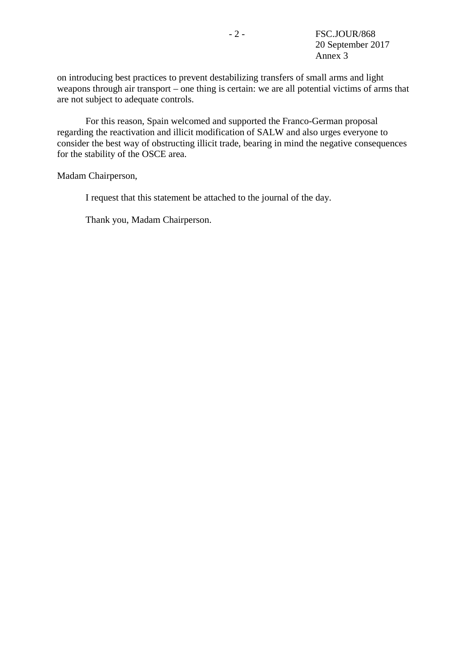on introducing best practices to prevent destabilizing transfers of small arms and light weapons through air transport – one thing is certain: we are all potential victims of arms that are not subject to adequate controls.

For this reason, Spain welcomed and supported the Franco-German proposal regarding the reactivation and illicit modification of SALW and also urges everyone to consider the best way of obstructing illicit trade, bearing in mind the negative consequences for the stability of the OSCE area.

Madam Chairperson,

I request that this statement be attached to the journal of the day.

Thank you, Madam Chairperson.